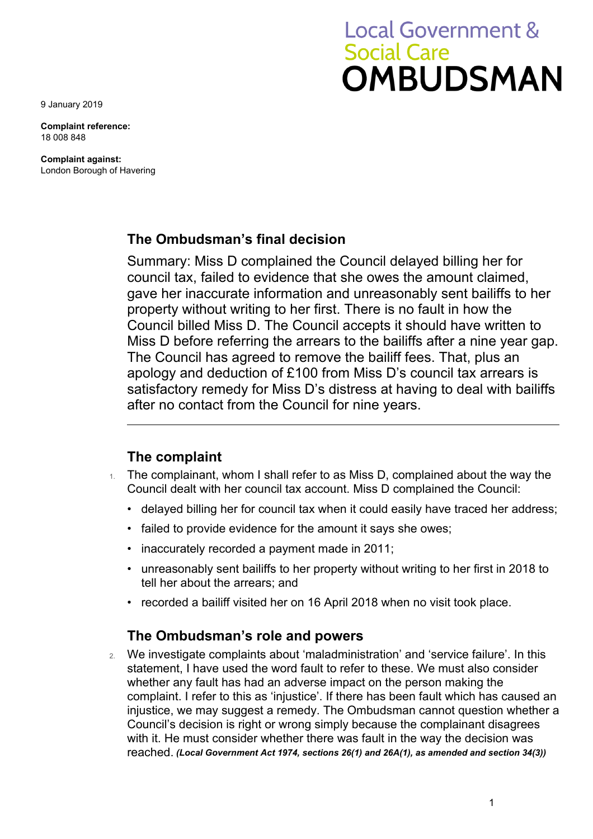**Local Government & Social Care OMBUDSMAN** 

9 January 2019

**Complaint reference:**  18 008 848

**Complaint against:**  London Borough of Havering

### **The Ombudsman's final decision**

 council tax, failed to evidence that she owes the amount claimed, property without writing to her first. There is no fault in how the Summary: Miss D complained the Council delayed billing her for gave her inaccurate information and unreasonably sent bailiffs to her Council billed Miss D. The Council accepts it should have written to Miss D before referring the arrears to the bailiffs after a nine year gap. The Council has agreed to remove the bailiff fees. That, plus an apology and deduction of £100 from Miss D's council tax arrears is satisfactory remedy for Miss D's distress at having to deal with bailiffs after no contact from the Council for nine years.

### **The complaint**

- $1.$  The complainant, whom I shall refer to as Miss D, complained about the way the Council dealt with her council tax account. Miss D complained the Council:
	- delayed billing her for council tax when it could easily have traced her address;
	- failed to provide evidence for the amount it says she owes;
	- inaccurately recorded a payment made in 2011;
	- unreasonably sent bailiffs to her property without writing to her first in 2018 to tell her about the arrears; and
	- recorded a bailiff visited her on 16 April 2018 when no visit took place.

### **The Ombudsman's role and powers**

 Council's decision is right or wrong simply because the complainant disagrees with it. He must consider whether there was fault in the way the decision was 2. We investigate complaints about 'maladministration' and 'service failure'. In this statement, I have used the word fault to refer to these. We must also consider whether any fault has had an adverse impact on the person making the complaint. I refer to this as 'injustice'. If there has been fault which has caused an injustice, we may suggest a remedy. The Ombudsman cannot question whether a reached. *(Local Government Act 1974, sections 26(1) and 26A(1), as amended and section 34(3))*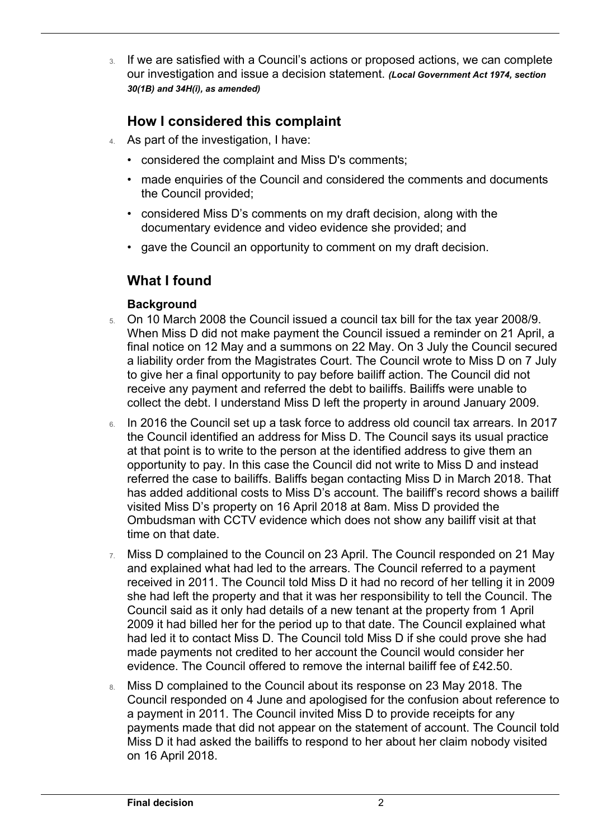our investigation and issue a decision statement. *(Local Government Act 1974, section*  3. If we are satisfied with a Council's actions or proposed actions, we can complete *30(1B) and 34H(i), as amended)* 

# **How I considered this complaint**

- 4. As part of the investigation, I have:
	- considered the complaint and Miss D's comments;
	- • made enquiries of the Council and considered the comments and documents the Council provided;
	- considered Miss D's comments on my draft decision, along with the documentary evidence and video evidence she provided; and
	- gave the Council an opportunity to comment on my draft decision.

## **What I found**

### **Background**

 $\overline{a}$ 

- 5. On 10 March 2008 the Council issued a council tax bill for the tax year 2008/9. When Miss D did not make payment the Council issued a reminder on 21 April, a final notice on 12 May and a summons on 22 May. On 3 July the Council secured a liability order from the Magistrates Court. The Council wrote to Miss D on 7 July to give her a final opportunity to pay before bailiff action. The Council did not receive any payment and referred the debt to bailiffs. Bailiffs were unable to collect the debt. I understand Miss D left the property in around January 2009.
- at that point is to write to the person at the identified address to give them an opportunity to pay. In this case the Council did not write to Miss D and instead referred the case to bailiffs. Baliffs began contacting Miss D in March 2018. That visited Miss D's property on 16 April 2018 at 8am. Miss D provided the 6. In 2016 the Council set up a task force to address old council tax arrears. In 2017 the Council identified an address for Miss D. The Council says its usual practice has added additional costs to Miss D's account. The bailiff's record shows a bailiff Ombudsman with CCTV evidence which does not show any bailiff visit at that time on that date.
- 2009 it had billed her for the period up to that date. The Council explained what evidence. The Council offered to remove the internal bailiff fee of £42.50. 7. Miss D complained to the Council on 23 April. The Council responded on 21 May and explained what had led to the arrears. The Council referred to a payment received in 2011. The Council told Miss D it had no record of her telling it in 2009 she had left the property and that it was her responsibility to tell the Council. The Council said as it only had details of a new tenant at the property from 1 April had led it to contact Miss D. The Council told Miss D if she could prove she had made payments not credited to her account the Council would consider her
- Miss D it had asked the bailiffs to respond to her about her claim nobody visited 8. Miss D complained to the Council about its response on 23 May 2018. The Council responded on 4 June and apologised for the confusion about reference to a payment in 2011. The Council invited Miss D to provide receipts for any payments made that did not appear on the statement of account. The Council told on 16 April 2018.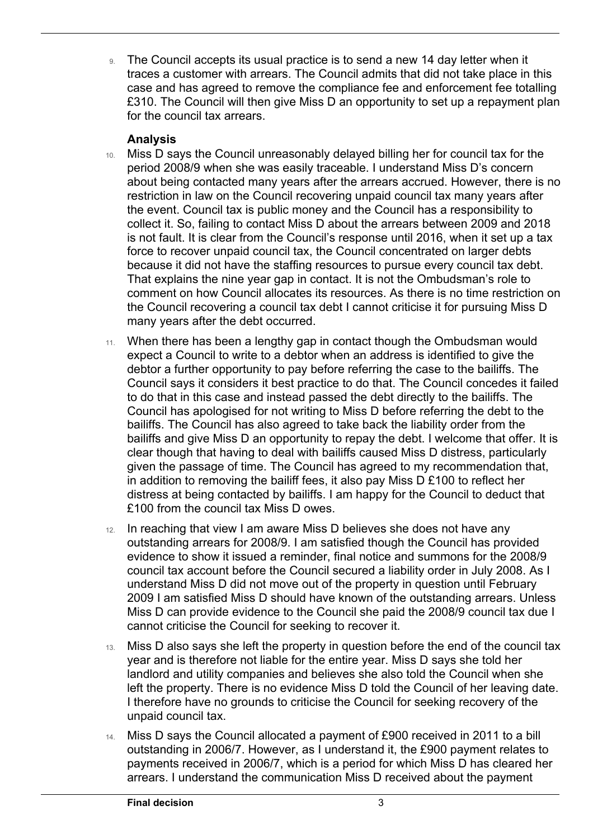9. The Council accepts its usual practice is to send a new 14 day letter when it traces a customer with arrears. The Council admits that did not take place in this case and has agreed to remove the compliance fee and enforcement fee totalling £310. The Council will then give Miss D an opportunity to set up a repayment plan for the council tax arrears.

#### **Analysis**

 $\overline{a}$ 

- because it did not have the staffing resources to pursue every council tax debt. comment on how Council allocates its resources. As there is no time restriction on 10. Miss D says the Council unreasonably delayed billing her for council tax for the period 2008/9 when she was easily traceable. I understand Miss D's concern about being contacted many years after the arrears accrued. However, there is no restriction in law on the Council recovering unpaid council tax many years after the event. Council tax is public money and the Council has a responsibility to collect it. So, failing to contact Miss D about the arrears between 2009 and 2018 is not fault. It is clear from the Council's response until 2016, when it set up a tax force to recover unpaid council tax, the Council concentrated on larger debts That explains the nine year gap in contact. It is not the Ombudsman's role to the Council recovering a council tax debt I cannot criticise it for pursuing Miss D many years after the debt occurred.
- Council says it considers it best practice to do that. The Council concedes it failed Council has apologised for not writing to Miss D before referring the debt to the clear though that having to deal with bailiffs caused Miss D distress, particularly given the passage of time. The Council has agreed to my recommendation that, in addition to removing the bailiff fees, it also pay Miss D £100 to reflect her 11. When there has been a lengthy gap in contact though the Ombudsman would expect a Council to write to a debtor when an address is identified to give the debtor a further opportunity to pay before referring the case to the bailiffs. The to do that in this case and instead passed the debt directly to the bailiffs. The bailiffs. The Council has also agreed to take back the liability order from the bailiffs and give Miss D an opportunity to repay the debt. I welcome that offer. It is distress at being contacted by bailiffs. I am happy for the Council to deduct that £100 from the council tax Miss D owes.
- 2009 I am satisfied Miss D should have known of the outstanding arrears. Unless Miss D can provide evidence to the Council she paid the 2008/9 council tax due I 12. In reaching that view I am aware Miss D believes she does not have any outstanding arrears for 2008/9. I am satisfied though the Council has provided evidence to show it issued a reminder, final notice and summons for the 2008/9 council tax account before the Council secured a liability order in July 2008. As I understand Miss D did not move out of the property in question until February cannot criticise the Council for seeking to recover it.
- 13. Miss D also says she left the property in question before the end of the council tax year and is therefore not liable for the entire year. Miss D says she told her landlord and utility companies and believes she also told the Council when she left the property. There is no evidence Miss D told the Council of her leaving date. I therefore have no grounds to criticise the Council for seeking recovery of the unpaid council tax.
- 14. Miss D says the Council allocated a payment of £900 received in 2011 to a bill outstanding in 2006/7. However, as I understand it, the £900 payment relates to payments received in 2006/7, which is a period for which Miss D has cleared her arrears. I understand the communication Miss D received about the payment